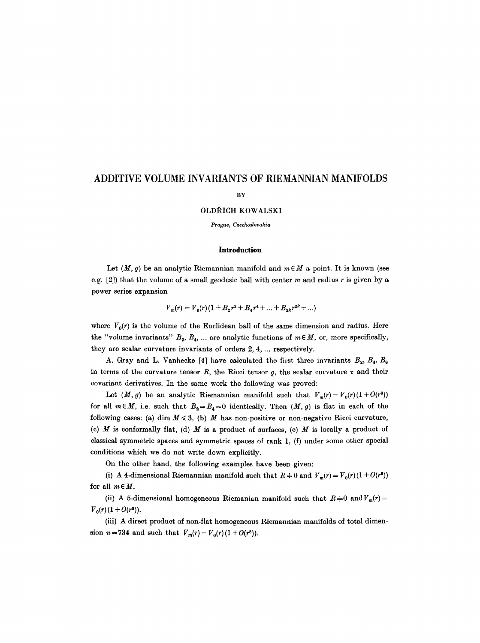# **ADDITIVE VOLUME INVARIANTS OF RIEMANNIAN MANIFOLDS**

# **BY**

# OLDŘICH KOWALSKI

*Prague, Czechoslovakia* 

## **Introduction**

Let  $(M, g)$  be an analytic Riemannian manifold and  $m \in M$  a point. It is known (see e.g.  $[2]$ ) that the volume of a small geodesic ball with center m and radius r is given by a power series expansion

$$
V_m(r) = V_0(r) (1 + B_2r^2 + B_4r^4 + ... + B_{2k}r^{2k} + ...)
$$

where  $V_0(r)$  is the volume of the Euclidean ball of the same dimension and radius. Here the "volume invariants"  $B_2, B_4, \ldots$  are analytic functions of  $m \in M$ , or, more specifically, they are scalar curvature invariants of orders 2, 4, ... respectively.

A. Gray and L. Vanhecke [4] have calculated the first three invariants  $B_2, B_4, B_6$ in terms of the curvature tensor R, the Ricci tensor  $\rho$ , the scalar curvature  $\tau$  and their covariant derivatives. In the same work the following was proved:

Let  $(M, g)$  be an analytic Riemannian manifold such that  $V_m(r) = V_0(r)(1+O(r^6))$ for all  $m \in M$ , i.e. such that  $B_2 = B_4 = 0$  identically. Then  $(M, g)$  is flat in each of the following cases: (a) dim  $M \leq 3$ , (b) M has non-positive or non-negative Ricci curvature, (c)  $M$  is conformally flat, (d)  $M$  is a product of surfaces, (e)  $M$  is locally a product of classical symmetric spaces and symmetric spaces of rank 1, (f) under some other special conditions which we do not write down explicitly.

On the other hand, the following examples have been given:

(i) A 4-dimensional Riemannian manifold such that  $R \neq 0$  and  $V_m(r) = V_0(r) (1 + O(r^6))$ for all  $m \in M$ .

(ii) A 5-dimensional homogeneous Riemanian manifold such that  $R+0$  and  $V_m(r)=$  $V_0(r) (1 + O(r^6)).$ 

(iii) A direct product of non-flat homogeneous Riemannian manifolds of total dimension  $n=734$  and such that  $V_m(r) = V_0(r)(1 + O(r^3)).$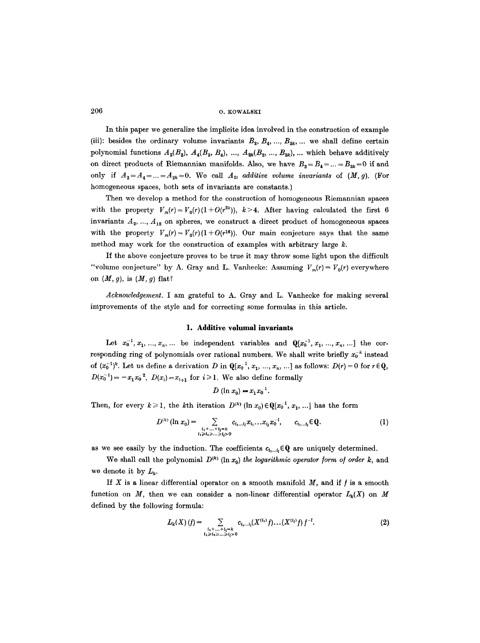In this paper we generalize the implicite idea involved in the construction of example (iii): besides the ordinary volume invariants  $B_2, B_4, ..., B_{2k}$ , ... we shall define certain polynomial functions  $A_2(B_2)$ ,  $A_4(B_2, B_4)$ , ...,  $A_{2k}(B_2, ..., B_{2k})$ , ... which behave additively on direct products of Riemannian manifolds. Also, we have  $B_2 = B_4 = ... = B_{2k} = 0$  if and only if  $A_2 = A_4 = ... = A_{2k} = 0$ . We call  $A_{2i}$  additive volume invariants of  $(M, g)$ . (For homogeneous spaces, both sets of invariants are constants.)

Then we develop a method for the construction of homogeneous Riemannian spaces with the property  $V_m(r) = V_0(r)(1+O(r^{2k}))$ ,  $k > 4$ . After having calculated the first 6 invariants  $A_2, ..., A_{12}$  on spheres, we construct a direct product of homogeneous spaces with the property  $V_m(r) = V_0(r)(1+O(r^{18}))$ . Our main conjecture says that the same method may work for the construction of examples with arbitrary large  $k$ .

If the above conjecture proves to be true it may throw some light upon the difficult "volume conjecture" by A. Gray and L. Vanhecke: Assuming  $V_m(r) = V_0(r)$  everywhere on  $(M, g)$ , is  $(M, g)$  flat?

*Acknowledgement.* I am grateful to A. Gray and L. Vanhecke for making several improvements of the style and for correcting some formulas in this article.

#### **l. Additive volumal invariants**

Let  $x_0^{-1}, x_1, ..., x_n, ...$  be independent variables and  $\mathbb{Q}[x_0^{-1}, x_1, ..., x_n, ...]$  the corresponding ring of polynomials over rational numbers. We shall write briefly  $x_0^{-k}$  instead of  $(x_0^{-1})^k$ . Let us define a derivation D in  $\mathbb{Q}[x_0^{-1}, x_1, ..., x_n, ...]$  as follows:  $D(r) = 0$  for  $r \in \mathbb{Q}$ ,  $D(x_0^{-1}) = -x_1x_0^{-2}$ ,  $D(x_i) = x_{i+1}$  for  $i \ge 1$ . We also define formally

$$
D\left(\ln x_0\right) = x_1x_0^{-1}.
$$

Then, for every  $k \ge 1$ , the kth iteration  $D^{(k)}$  (ln  $x_0 \in \mathbb{Q}[x_0^{-1}, x_1, \ldots]$  has the form

$$
D^{(k)}(\ln x_0) = \sum_{\substack{i_1 + ... + i_l = k \\ i_1 \geq i_1 \geq ... \geq i_l > 0}} c_{i_1...i_l} x_{i_1} ... x_{i_l} x_0^{-1}, \qquad c_{i_1...i_l} \in \mathbb{Q}.
$$
 (1)

as we see easily by the induction. The coefficients  $c_{i_1...i_l} \in \mathbb{Q}$  are uniquely determined.

We shall call the polynomial  $D^{(k)}$  (ln  $x_0$ ) *the logarithmic operator form of order k,* and we denote it by  $L_k$ .

If  $X$  is a linear differential operator on a smooth manifold  $M$ , and if  $f$  is a smooth function on M, then we can consider a non-linear differential operator  $L_k(X)$  on M defined by the following formula:

$$
L_k(X)(f) = \sum_{\substack{i_1 + ... + i_l = k \\ i_1 \geq i_2, ..., \geq i_l > 0}} c_{i_1...i_l}(X^{(i_1)}f)...(X^{(i_l)}f) f^{-l}.
$$
 (2)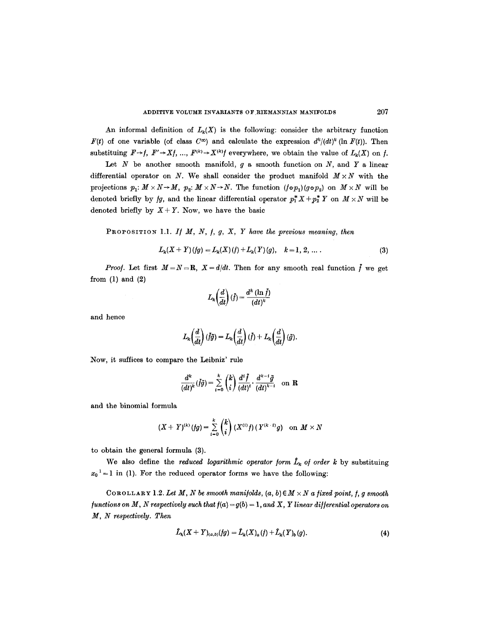An informal definition of  $L_k(X)$  is the following: consider the arbitrary function *F(t)* of one variable (of class  $C^{\infty}$ ) and calculate the expression  $d^{k}/(dt)^{k}$  (ln *F(t)*). Then substituing  $F \rightarrow f$ ,  $F' \rightarrow Xf$ , ...,  $F^{(k)} \rightarrow X^{(k)}f$  everywhere, we obtain the value of  $L_k(X)$  on f.

Let  $N$  be another smooth manifold,  $g$  a smooth function on  $N$ , and  $Y$  a linear differential operator on N. We shall consider the product manifold  $M \times N$  with the projections  $p_1: M \times N \to M$ ,  $p_2: M \times N \to N$ . The function  $(f \circ p_1)(g \circ p_2)$  on  $M \times N$  will be denoted briefly by *fg*, and the linear differential operator  $p_1^* X + p_2^* Y$  on  $M \times N$  will be denoted briefly by  $X + Y$ . Now, we have the basic

PROPOSITION 1.1. *If M, N, f, g, X, Y have the previous meaning, then* 

$$
L_k(X+Y)(fg) = L_k(X)(f) + L_k(Y)(g), \quad k = 1, 2, ... \qquad (3)
$$

*Proof.* Let first  $M = N = \mathbb{R}$ ,  $X = d/dt$ . Then for any smooth real function f we get from  $(1)$  and  $(2)$ 

$$
L_k\!\left(\!\frac{d}{dt}\!\right)(\tilde{f})=\!\frac{d^k\left(\ln\tilde{f}\right)}{(dt)^k}
$$

and hence

$$
L_k\!\left(\frac{d}{dt}\right)(\tilde{f}\tilde{g})=L_k\!\left(\frac{d}{dt}\right)(\tilde{f})+L_k\!\left(\frac{d}{dt}\right)(\tilde{g}).
$$

Now, it suffices to compare the Leibniz' rule

$$
\frac{d^k}{(dt)^k}(\tilde{f}\tilde{g}) = \sum_{i=0}^k {k \choose i} \frac{d^i \tilde{f}}{(dt)^i} \cdot \frac{d^{k-i} \tilde{g}}{(dt)^{k-i}} \text{ on } \mathbf{R}
$$

and the binomial formula

$$
(X+Y)^{(k)}(fg) = \sum_{i=0}^{k} {k \choose i} (X^{(i)}f) (Y^{(k+i)}g) \text{ on } M \times N
$$

to obtain the general formula (3).

We also define the *reduced logarithmic operator form*  $\hat{L}_k$  of order k by substituing  $x_0^{-1} = 1$  in (1). For the reduced operator forms we have the following:

COROLLARY 1.2. Let M, N be smooth manifolds,  $(a, b) \in M \times N$  a fixed point, f, g smooth */unctions on M, N respectively such that*  $f(a) = g(b) = 1$ , and X, Y linear differential operators on *M, N respectively. Then* 

$$
\hat{L}_{k}(X+Y)_{(a,b)}(fg)=\hat{L}_{k}(X)_{a}(f)+\hat{L}_{k}(Y)_{b}(g).
$$
\n(4)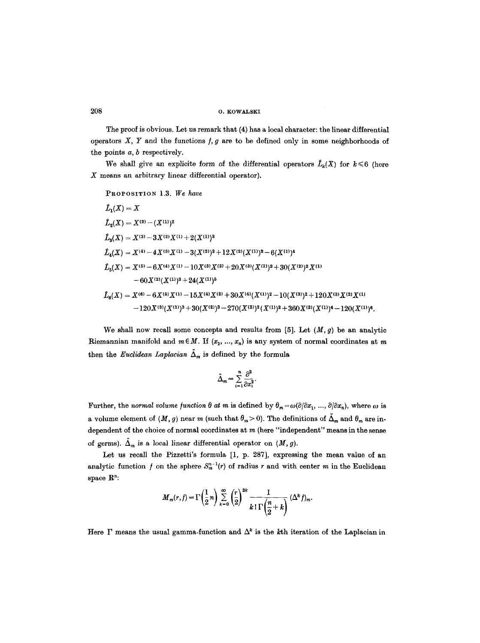The proof is obvious. Let us remark that (4) has a local character: the linear differential operators  $X$ ,  $Y$  and the functions  $f$ ,  $g$  are to be defined only in some neighborhoods of the points a, b respectively.

We shall give an explicite form of the differential operators  $\hat{L}_k(X)$  for  $k \leq 6$  (here X means an arbitrary linear differential operator).

PROPOSITION 1.3. We have

$$
\hat{L}_1(X) = X
$$
\n
$$
\hat{L}_2(X) = X^{(2)} - (X^{(1)})^2
$$
\n
$$
\hat{L}_3(X) = X^{(3)} - 3X^{(2)}X^{(1)} + 2(X^{(1)})^3
$$
\n
$$
\hat{L}_4(X) = X^{(4)} - 4X^{(3)}X^{(1)} - 3(X^{(2)})^2 + 12X^{(2)}(X^{(1)})^2 - 6(X^{(1)})^4
$$
\n
$$
\hat{L}_5(X) = X^{(5)} - 6X^{(4)}X^{(1)} - 10X^{(3)}X^{(2)} + 20X^{(3)}(X^{(1)})^2 + 30(X^{(2)})^2X^{(1)}
$$
\n
$$
-60X^{(2)}(X^{(1)})^3 + 24(X^{(1)})^5
$$
\n
$$
\hat{L}_6(X) = X^{(6)} - 6X^{(6)}X^{(1)} - 15X^{(4)}X^{(2)} + 30X^{(4)}(X^{(1)})^2 - 10(X^{(3)})^2 + 120X^{(3)}X^{(2)}X^{(1)}
$$

We shall now recall some concepts and results from [5]. Let  $(M, g)$  be an analytic Riemannian manifold and  $m \in M$ . If  $(x_1, ..., x_n)$  is any system of normal coordinates at m then the *Euclidean Laplacian*  $\tilde{\Delta}_m$  is defined by the formula

 $-120X^{(3)}(X^{(1)})^3+30(X^{(2)})^3-270(X^{(2)})^2(X^{(1)})^2+360X^{(2)}(X^{(1)})^4-120(X^{(1)})^6$ 

$$
\bar{\Delta}_m = \sum_{i=1}^n \frac{\partial^2}{\partial x_i^2}.
$$

Further, the *normal volume function*  $\theta$  at m is defined by  $\theta_m = \omega(\partial/\partial x_1, ..., \partial/\partial x_n)$ , where  $\omega$  is a volume element of  $(M, g)$  near m (such that  $\theta_m > 0$ ). The definitions of  $\tilde{\Delta}_m$  and  $\theta_m$  are independent of the choice of normal coordinates at  $m$  (here "independent" means in the sense of germs).  $\hat{\Delta}_m$  is a local linear differential operator on  $(M, g)$ .

Let us recall the Pizzetti's formula [1, p. 287], expressing the mean value of an analytic function f on the sphere  $S_m^{n-1}(r)$  of radius r and with center m in the Euclidean space  $\mathbb{R}^n$ :

$$
M_m(r, f) = \Gamma\left(\frac{1}{2}n\right) \sum_{k=0}^{\infty} \left(\frac{r}{2}\right)^{2k} \frac{1}{k \,!\,\Gamma\left(\frac{n}{2}+k\right)} \,(\Delta^k f)_m.
$$

Here  $\Gamma$  means the usual gamma-function and  $\Delta^k$  is the kth iteration of the Laplacian in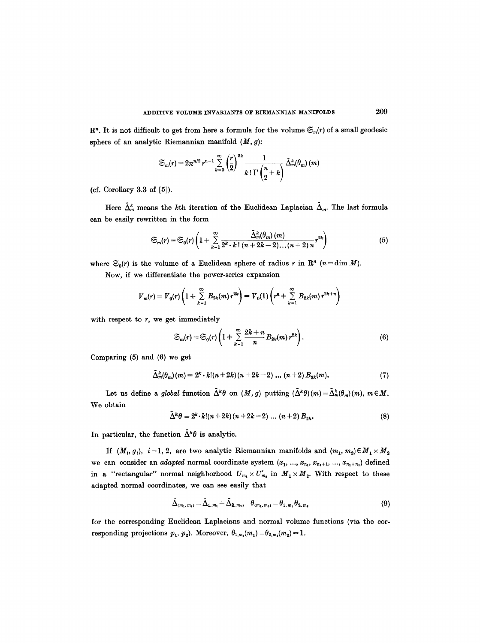$\mathbb{R}^n$ . It is not difficult to get from here a formula for the volume  $\mathfrak{S}_m(r)$  of a small geodesic sphere of an analytic Riemannian manifold  $(M, g)$ :

$$
\mathfrak{S}_{m}(r)=2\pi^{n/2}r^{n-1}\sum_{k=0}^{\infty}\left(\frac{r}{2}\right)^{2k}\frac{1}{k\,! \Gamma\left(\frac{n}{2}+k\right)}\,\tilde{\Delta}_{m}^{k}(\theta_{m})\,(m)
$$

(cf. Corollary 3.3 of [5]).

Here  $\tilde{\Delta}_m^k$  means the kth iteration of the Euclidean Laplacian  $\tilde{\Delta}_m$ . The last formula can be easily rewritten in the form

$$
\mathfrak{S}_m(r) = \mathfrak{S}_0(r) \left( 1 + \sum_{k=1}^{\infty} \frac{\tilde{\Delta}_m^k(\theta_m)(m)}{2^k \cdot k! \left( n + 2k - 2 \right) \dots \left( n + 2 \right) n} r^{2k} \right) \tag{5}
$$

where  $\mathfrak{S}_0(r)$  is the volume of a Euclidean sphere of radius r in  $\mathbb{R}^n$  (n = dim M).

Now, if we differentiate the power-series expansion

$$
V_m(r) = V_0(r) \left( 1 + \sum_{k=1}^{\infty} B_{2k}(m) r^{2k} \right) = V_0(1) \left( r^n + \sum_{k=1}^{\infty} B_{2k}(m) r^{2k+n} \right)
$$

with respect to  $r$ , we get immediately

$$
\mathfrak{S}_m(r) = \mathfrak{S}_0(r) \left( 1 + \sum_{k=1}^{\infty} \frac{2k+n}{n} B_{2k}(m) r^{2k} \right). \tag{6}
$$

Comparing (5) and (6) we get

$$
\tilde{\Delta}_m^k(\theta_m)(m) = 2^k \cdot k! (n+2k)(n+2k-2) \dots (n+2) B_{2k}(m). \tag{7}
$$

Let us define a *global* function  $\tilde{\Delta}^k \theta$  on  $(M, g)$  putting  $(\tilde{\Delta}^k \theta)(m) = \tilde{\Delta}_m^k(\theta_m)(m)$ ,  $m \in M$ . We obtain

$$
\bar{\Delta}^{k}\theta = 2^{k} \cdot k! (n+2k)(n+2k-2) \dots (n+2) B_{2k}.
$$
 (8)

In particular, the function  $\tilde{\Delta}^k \theta$  is analytic.

If  $(M_t, g_t)$ ,  $i=1, 2$ , are two analytic Riemannian manifolds and  $(m_1, m_2) \in M_1 \times M_2$ we can consider an *adapted* normal coordinate system  $(x_1, ..., x_{n_1}, x_{n_1+1}, ..., x_{n_1+n_2})$  defined in a "rectangular" normal neighborhood  $U_{m_1} \times U'_{m_2}$  in  $M_1 \times M_2$ . With respect to these adapted normal coordinates, we can see easily that

$$
\tilde{\Delta}_{(m_1, m_2)} = \tilde{\Delta}_{1, m_1} + \tilde{\Delta}_{2, m_2}, \quad \theta_{(m_1, m_2)} = \theta_{1, m_1} \theta_{2, m_2}
$$
\n(9)

for the corresponding Euclidean Laplacians and normal volume functions (via the corresponding projections  $p_1$ ,  $p_2$ ). Moreover,  $\theta_{1,m_1}(m_1)=\theta_{2,m_2}(m_2)=1$ .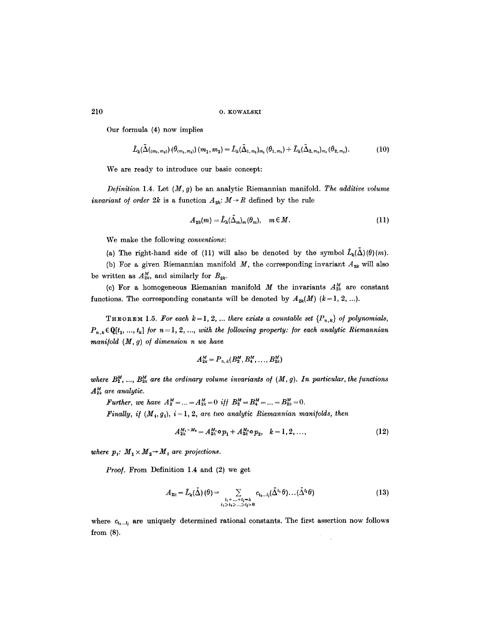Our formula (4) now implies

$$
\hat{L}_{k}(\tilde{\Delta}(m_{1},m_{2})) (\theta_{(m_{1},m_{2})})(m_{1},m_{2}) = \hat{L}_{k}(\tilde{\Delta}_{1,m_{1}})_{m_{1}} (\theta_{1,m_{1}}) + \hat{L}_{k}(\tilde{\Delta}_{2,m_{2}})_{m_{2}} (\theta_{2,m_{2}}).
$$
(10)

We are ready to introduce our basic concept:

*Definition* 1.4. Let  $(M, g)$  be an analytic Riemannian manifold. The additive volume *invariant of order 2k* is a function  $A_{2k}: M \rightarrow R$  defined by the rule

$$
A_{2k}(m) = \hat{L}_k(\tilde{\Delta}_m)_m(\theta_m), \quad m \in M. \tag{11}
$$

We make the following *conventions:* 

(a) The right-hand side of (11) will also be denoted by the symbol  $\hat{L}_k(\hat{\Delta})(\theta)(m)$ .

(b) For a given Riemannian manifold  $M$ , the corresponding invariant  $A_{2k}$  will also be written as  $A_{2k}^M$ , and similarly for  $B_{2k}$ .

(c) For a homogeneous Riemanian manifold  $M$  the invariants  $A_{2k}^M$  are constant functions. The corresponding constants will be denoted by  $A_{2k}(M)$   $(k=1, 2, ...).$ 

THEOREM 1.5. For each  $k=1, 2, ...$  there exists a countable set  $\{P_{n,k}\}\$  of polynomials,  $P_{n,k} \in \mathbb{Q}[t_1, ..., t_k]$  for  $n=1, 2, ...,$  with the following property: for each analytic Riemannian *mani/old* (M, *g) o/ dimension n we have* 

$$
A_{2k}^M = P_{n,k}(B_2^M, B_4^M, \ldots, B_{2k}^M)
$$

where  $B_2^M$ , ...,  $B_{2k}^M$  are the ordinary volume invariants of  $(M, g)$ . In particular, the functions  $A_{2k}^M$  are analytic.

*Further, we have*  $A_2^M = ... = A_{2k}^M = 0$  *iff*  $B_2^M = B_4^M = ... = B_{2k}^M = 0$ .

*Finally, if*  $(M_t, g_t)$ ,  $i = 1, 2$ , are two analytic Riemannian manifolds, then

$$
A_{2k}^{M_1 \times M_2} = A_{2k}^{M_1} \circ p_1 + A_{2k}^{M_2} \circ p_2, \quad k = 1, 2, ..., \tag{12}
$$

*where*  $p_i$ *:*  $M_1 \times M_2 \rightarrow M_i$  are projections.

*Proo/.* From Definition 1.4 and (2) we get

$$
A_{2k} = \hat{L}_k(\tilde{\Delta})\left(\theta\right) = \sum_{\substack{i_1 + \ldots + i_l = k\\i_1 \geq i_2 \geq \ldots \geq i_l > 0}} c_{i_1 \ldots i_l}(\tilde{\Delta}^{i_1} \theta) \ldots (\tilde{\Delta}^{i_l} \theta) \tag{13}
$$

where  $c_{i_1...i_l}$  are uniquely determined rational constants. The first assertion now follows from (8).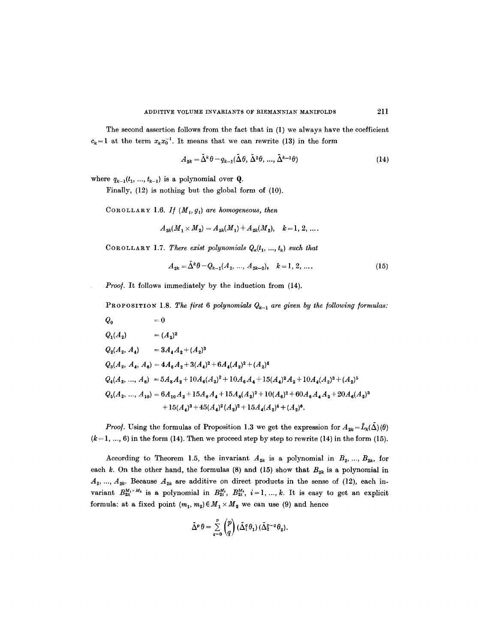The second assertion follows from the fact that in (1) we always have the coefficient  $c_k = 1$  at the term  $x_k x_0^{-1}$ . It means that we can rewrite (13) in the form

$$
A_{2k} = \tilde{\Delta}^k \theta - q_{k-1}(\tilde{\Delta}\theta, \tilde{\Delta}^2 \theta, ..., \tilde{\Delta}^{k-1} \theta)
$$
\n(14)

where  $q_{k-1}(t_1, ..., t_{k-1})$  is a polynomial over **Q**.

Finally, (12) is nothing but the global form of (10).

COROLLARY 1.6. If  $(M_i, g_i)$  are homogeneous, then

$$
A_{2k}(M_1 \times M_2) = A_{2k}(M_1) + A_{2k}(M_2), \quad k = 1, 2, \ldots.
$$

COROLLARY 1.7. There exist polynomials  $Q_{\kappa}(t_1, ..., t_k)$  such that

$$
A_{2k} = \Delta^k \theta - Q_{k-1}(A_2, \dots, A_{2k-2}), \quad k = 1, 2, \dots.
$$
 (15)

*Proo].* It follows immediately by the induction from (14).

PROPOSITION 1.8. The first 6 polynomials  $Q_{k-1}$  are given by the following formulas:

$$
Q_0 = 0
$$
  
\n
$$
Q_1(A_2) = (A_2)^2
$$
  
\n
$$
Q_2(A_2, A_4) = 3A_4A_2 + (A_2)^3
$$
  
\n
$$
Q_3(A_2, A_4, A_6) = 4A_6A_2 + 3(A_4)^2 + 6A_4(A_2)^2 + (A_2)^4
$$
  
\n
$$
Q_4(A_2, ..., A_8) = 5A_8A_2 + 10A_6(A_2)^2 + 10A_6A_4 + 15(A_4)^2A_2 + 10A_4(A_2)^3 + (A_2)^5
$$
  
\n
$$
Q_5(A_2, ..., A_{10}) = 6A_{10}A_2 + 15A_8A_4 + 15A_8(A_2)^2 + 10(A_6)^2 + 60A_6A_4A_2 + 20A_6(A_2)^3
$$
  
\n
$$
+ 15(A_4)^3 + 45(A_4)^2(A_2)^2 + 15A_4(A_2)^4 + (A_2)^6.
$$

*Proof.* Using the formulas of Proposition 1.3 we get the expression for  $A_{2k} = \hat{L}_k(\hat{\Delta}) (\theta)$  $(k = 1, ..., 6)$  in the form (14). Then we proceed step by step to rewrite (14) in the form (15).

According to Theorem 1.5, the invariant  $A_{2k}$  is a polynomial in  $B_2, ..., B_{2k}$ , for each k. On the other hand, the formulas (8) and (15) show that  $B_{2k}$  is a polynomial in  $A_2, ..., A_{2k}$ . Because  $A_{2k}$  are additive on direct products in the sense of (12), each invariant  $B_{2k}^{M_1\times M_2}$  is a polynomial in  $B_{2i}^{M_1}$ ,  $B_{2i}^{M_2}$ ,  $i=1, ..., k$ . It is easy to get an explicit formula: at a fixed point  $(m_1, m_2) \in M_1 \times M_2$  we can use (9) and hence

$$
\tilde{\Delta}^p \theta = \sum_{q=0}^p {p \choose q} (\tilde{\Delta}_1^q \theta_1) (\tilde{\Delta}_2^{p-q} \theta_2).
$$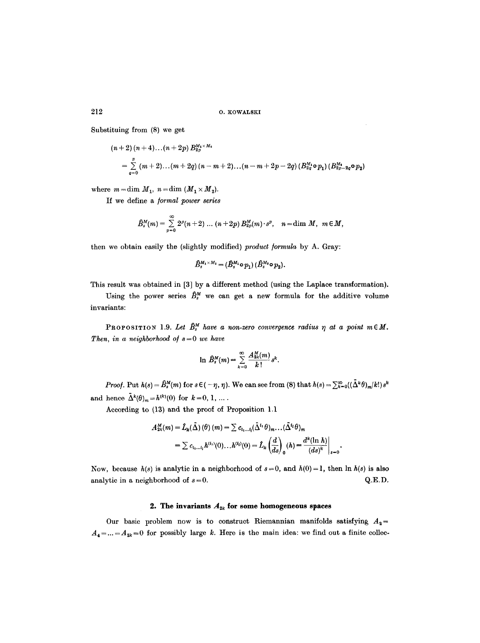Substituing from (8) we get

$$
(n+2) (n+4)...(n+2p) B_{2p}^{M_1 \times M_2}
$$
  
=  $\sum_{q=0}^{p} (m+2)...(m+2q) (n-m+2)...(n-m+2p-2q) (B_{2q}^{M_1} \circ p_1) (B_{2p-2q}^{M_2} \circ p_2)$ 

where  $m = \dim M_1$ ,  $n = \dim (M_1 \times M_2)$ .

If we define a */ormal power series* 

$$
\hat{B}_s^M(m)=\sum_{p=0}^\infty 2^p(n+2)\,\dots\,(n+2p)\,B_{2p}^M(m)\cdot s^p,\quad n=\text{dim }M,\ \ m\in M,
$$

then we obtain easily the (slightly modified) *product formula* by A. Gray:

$$
\widehat{B}_s^{M_1\times M_2}=(\widehat{B}_s^{M_1}\!\circ p_1)\,(\widehat{B}_s^{M_2}\!\circ p_2).
$$

This result was obtained in [3] by a different method (using the Laplace transformation).

Using the power series  $\hat{B}_{s}^{M}$  we can get a new formula for the additive volume invariants:

PROPOSITION 1.9. Let  $\hat{B}_{s}^{M}$  have a non-zero convergence radius  $\eta$  at a point  $m \in M$ . *Then, in a neighborhood of*  $s = 0$  *we have* 

$$
\ln \hat{B}_s^M(m) = \sum_{k=0}^{\infty} \frac{A_{2k}^M(m)}{k!} s^k.
$$

*Proof.* Put  $h(s) = \hat{B}_s^M(m)$  for  $s \in (-\eta, \eta)$ . We can see from (8) that  $h(s) = \sum_{k=0}^{\infty} ((\tilde{\Delta}^k \theta)_{m}/k!) s^k$ and hence  $\tilde{\Delta}^k(\theta)_m = h^{(k)}(0)$  for  $k=0, 1, ...$ .

According to (13) and the proof of Proposition 1.1

$$
A_{2k}^M(m) = \hat{L}_k(\tilde{\Delta}) \left(\theta\right)(m) = \sum c_{i_1...i_l}(\tilde{\Delta}^{i_1} \theta)_m \dots (\tilde{\Delta}^{i_l} \theta)_m
$$
  
= 
$$
\sum c_{i_1...i_l} h^{(i_1)}(0) \dots h^{(i_l)}(0) = \hat{L}_k \left(\frac{d}{ds}\right)_0 (h) = \frac{d^k(\ln h)}{(ds)^k}\Big|_{s=0}.
$$

Now, because  $h(s)$  is analytic in a neighborhood of  $s = 0$ , and  $h(0) = 1$ , then  $\ln h(s)$  is also analytic in a neighborhood of  $s=0$ .  $Q.E.D.$ 

# 2. The invariants  $A_{2k}$  for some homogeneous spaces

Our basic problem now is to construct Riemannian manifolds satisfying  $A_2=$  $A_4 = ... = A_{2k} = 0$  for possibly large k. Here is the main idea: we find out a finite collec-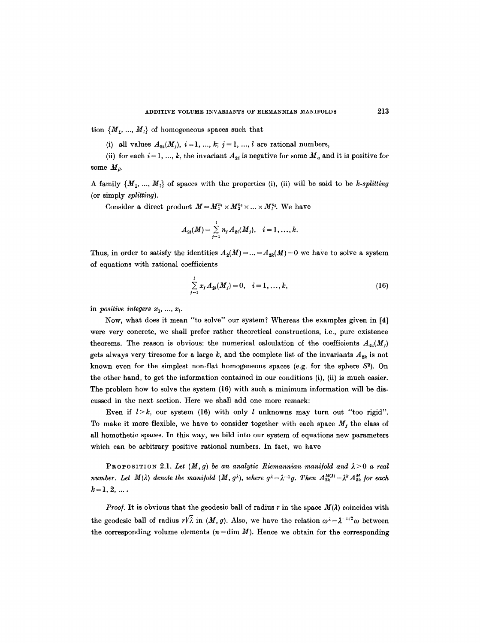tion  $\{M_1, ..., M_l\}$  of homogeneous spaces such that

(i) all values  $A_{2i}(M_j)$ ,  $i=1, ..., k; j=1, ..., l$  are rational numbers,

(ii) for each  $i = 1, ..., k$ , the invariant  $A_{2i}$  is negative for some  $M_a$  and it is positive for some  $M_{\beta}$ .

A family  $\{M_1, ..., M_l\}$  of spaces with the properties (i), (ii) will be said to be *k-splitting* (or simply *splitting).* 

Consider a direct product  $M = M_1^{n_1} \times M_2^{n_2} \times ... \times M_l^{n_l}$ . We have

$$
A_{2i}(M)=\sum_{j=1}^l n_j A_{2i}(M_j), \quad i=1,\ldots,k.
$$

Thus, in order to satisfy the identities  $A_2(M) = ... = A_{2k}(M) = 0$  we have to solve a system of equations with rational coefficients

$$
\sum_{j=1}^{l} x_j A_{2i}(M_j) = 0, \quad i = 1, ..., k,
$$
\n(16)

in *positive integers*  $x_1, ..., x_l$ .

Now, what does it mean "to solve" our system? Whereas the examples given in [4] were very concrete, we shall prefer rather theoretical constructions, i.e., pure existence theorems. The reason is obvious: the numerical calculation of the coefficients  $A_{2i}(M_i)$ gets always very tiresome for a large k, and the complete list of the invariants  $A_{2k}$  is not known even for the simplest non-flat homogeneous spaces (e.g. for the sphere  $S<sup>2</sup>$ ). On the other hand, to get the information contained in our conditions (i), (ii) is much easier. The problem how to solve the system (16) with such a minimum information will be discussed in the next section. Here we shall add one more remark:

Even if  $l > k$ , our system (16) with only  $l$  unknowns may turn out "too rigid". To make it more flexible, we have to consider together with each space  $M_j$  the class of all homothetic spaces. In this way, we bild into our system of equations new parameters which can be arbitrary positive rational numbers. In fact, we have

PROPOSITION 2.1. Let  $(M, g)$  be an analytic Riemannian manifold and  $\lambda > 0$  a real *number. Let*  $M(\lambda)$  denote the manifold  $(M, g^{\lambda})$ , where  $g^{\lambda} = \lambda^{-1}g$ . Then  $A_{2k}^{M(\lambda)} = \lambda^{k} A_{2k}^{M}$  for each  $k=1, 2, ...$ 

*Proof.* It is obvious that the geodesic ball of radius r in the space  $M(\lambda)$  coincides with the geodesic ball of radius  $r\sqrt{\lambda}$  in  $(M, g)$ . Also, we have the relation  $\omega^{\lambda} = \lambda^{-n/2}\omega$  between the corresponding volume elements  $(n=\dim M)$ . Hence we obtain for the corresponding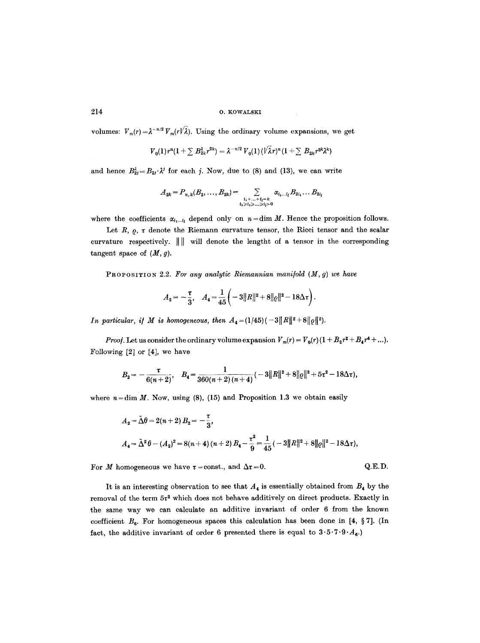volumes:  $V_m(r) = \lambda^{-n/2} V_m(r/\lambda)$ . Using the ordinary volume expansions, we get

$$
V_0(1)r^n(1+\sum B_{2k}^{\lambda}r^{2k})=\lambda^{-n/2}V_0(1)(\sqrt{\lambda}r)^n(1+\sum B_{2k}r^{2k}\lambda^k)
$$

and hence  $B_{2j}^{\lambda} = B_{2j} \cdot \lambda^{j}$  for each j. Now, due to (8) and (13), we can write

$$
A_{2k} = P_{n,k}(B_2, \ldots, B_{2k}) = \sum_{\substack{i_1 + \ldots + i_l = k \\ i_1 \geq i_2 \geq \ldots \geq i_l \geq 0}} \alpha_{i_1 \ldots i_l} B_{2i_1} \ldots B_{2i_l}
$$

where the coefficients  $\alpha_{i_1...i_l}$  depend only on  $n=\dim M$ . Hence the proposition follows.

Let R,  $\rho$ ,  $\tau$  denote the Riemann curvature tensor, the Ricci tensor and the scalar curvature respectively.  $\|\|\$  will denote the lengtht of a tensor in the corresponding tangent space of  $(M, g)$ .

PROPOSITION 2.2. For any analytic Riemannian manifold  $(M, g)$  we have

$$
A_2 = -\frac{\tau}{3}, \quad A_4 = \frac{1}{45} \left( -3\|R\|^2 + 8\|\varrho\|^2 - 18\Delta\tau \right).
$$

*In particular, if M is homogeneous, then*  $A_4 = (1/45)(-3||R||^2 + 8||\rho||^2)$ .

*Proof.* Let us consider the ordinary volume expansion  $V_m(r) = V_0(r) (1 + B_2 r^2 + B_4 r^4 + ...).$ Following [2] or [4], we have

$$
B_2 = -\frac{\tau}{6(n+2)}, \quad B_4 = \frac{1}{360(n+2)(n+4)}(-3||R||^2+8||\varrho||^2+5\tau^2-18\Delta\tau),
$$

where  $n = \dim M$ . Now, using (8), (15) and Proposition 1.3 we obtain easily

$$
A_2 = \tilde{\Delta}\theta = 2(n+2) B_2 = -\frac{\tau}{3},
$$
  

$$
A_4 = \tilde{\Delta}^2 \theta - (A_2)^2 = 8(n+4)(n+2) B_4 - \frac{\tau^2}{9} = \frac{1}{45}(-3||R||^2 + 8||\varrho||^2 - 18\Delta\tau),
$$

For M homogeneous we have  $\tau$  = const., and  $\Delta \tau = 0$ . Q.E.D.

It is an interesting observation to see that  $A_4$  is essentially obtained from  $B_4$  by the removal of the term  $5t^2$  which does not behave additively on direct products. Exactly in the same way we can calculate an additive invariant of order 6 from the known coefficient  $B_8$ . For homogeneous spaces this calculation has been done in [4, § 7]. (In fact, the additive invariant of order 6 presented there is equal to  $3.5.7.9. A_{6}$ .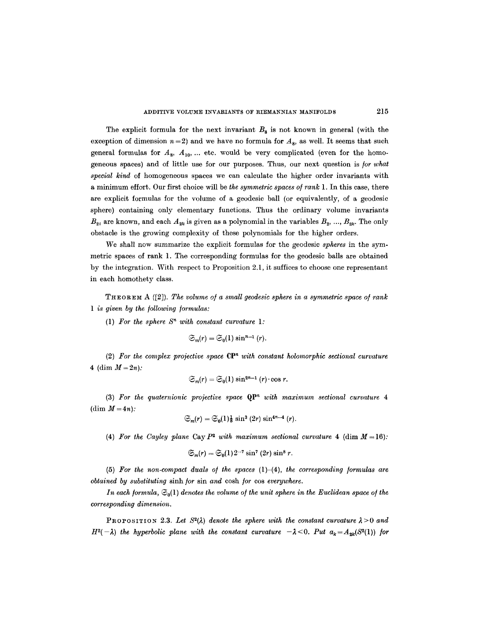The explicit formula for the next invariant  $B_8$  is not known in general (with the exception of dimension  $n=2$ ) and we have no formula for  $A_8$ , as well. It seems that such general formulas for  $A_8$ ,  $A_{10}$ , ... etc. would be very complicated (even for the homogeneous spaces) and of little use for our purposes. Thus, our next question is/or *what special kind* of homogeneous spaces we can calculate the higher order invariants with a minimum effort. Our first choice will be *the symmetric spaces o/rank* 1. In this case, there are explicit formulas for the volume of a geodesic ball (or equivalently, of a geodesic sphere) containing only elementary functions. Thus the ordinary volume invariants  $B_{2i}$  are known, and each  $A_{2k}$  is given as a polynomial in the variables  $B_2, ..., B_{2k}$ . The only obstacle is the growing complexity of these polynomials for the higher orders.

We shall now summarize the explicit formulas for the geodesic *spheres* in the symmetric spaces of rank 1. The corresponding formulas for the geodesic balls are obtained by the integration. With respect to Proposition 2.1, it suffices to choose one representant in each homothety class.

THEOREM A ([2]). *The volume o/a small geodesic sphere in a symmetric space o/ rank 1 is given by the following formulas:* 

(1) For the sphere  $S<sup>n</sup>$  with constant curvature 1:

$$
\mathfrak{S}_m(r)=\mathfrak{S}_0(1)\sin^{n-1}(r).
$$

(2) For the complex projective space  $\mathbb{C}P^n$  with constant holomorphic sectional curvature 4 (dim  $M = 2n$ ):

$$
\mathfrak{S}_m(r)=\mathfrak{S}_0(1)\sin^{2n-1}(r)\cdot\cos r.
$$

(3) *For the quaternionic projective space* Qpn *with maximum sectional curvature 4*  (dim  $M = 4n$ ):

$$
\mathfrak{S}_m(r)=\mathfrak{S}_0(1)_{\mathfrak{F}}^1\sin^3(2r)\sin^{4n-4}(r).
$$

(4) For the Cayley plane Cay  $P^2$  with maximum sectional curvature 4 (dim  $M = 16$ ):

$$
\mathfrak{S}_m(r) = \mathfrak{S}_0(1)2^{-7} \sin^7(2r) \sin^8 r.
$$

(5) *For the non-compact duals o/ the spaces* (1)-(4), *the corresponding /ormulas are obtained by substituting* sinh/or sin *and* cosh/or cos *everywhere.* 

*In each formula,*  $\mathfrak{S}_0(1)$  *denotes the volume of the unit sphere in the Euclidean space of the corresponding dimension.* 

**PROPOSITION** 2.3. Let  $S^2(\lambda)$  denote the sphere with the constant curvature  $\lambda > 0$  and  $H^2(-\lambda)$  the hyperbolic plane with the constant curvature  $-\lambda < 0$ . Put  $a_k = A_{2k}(S^2(1))$  for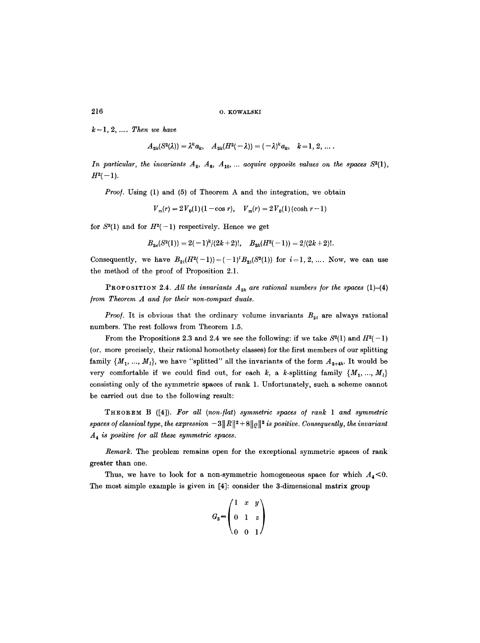$k = 1, 2, ...$  *Then we have* 

$$
A_{2k}(S^2(\lambda))=\lambda^k a_k, \quad A_{2k}(H^2(-\lambda))=(-\lambda)^k a_k, \quad k=1, 2, \ldots.
$$

*In particular, the invariants*  $A_2$ ,  $A_6$ ,  $A_{10}$ , ... *acquire opposite values on the spaces*  $S^2(1)$ ,  $H^2(-1)$ .

*Proof.* Using (1) and (5) of Theorem A and the integration, we obtain

 $V_m(r) = 2V_0(1)(1-\cos r), \quad V_m(r) = 2V_0(1)(\cosh r - 1)$ 

for  $S^2(1)$  and for  $H^2(-1)$  respectively. Hence we get

$$
B_{2k}(S^2(1)) = 2(-1)^k/(2k+2)!, \quad B_{2k}(H^2(-1)) = 2/(2k+2)!.
$$

Consequently, we have  $B_{2i}(H^2(-1)) = (-1)^i B_{2i}(S^2(1))$  for  $i=1, 2, ...$  Now, we can use the method of the proof of Proposition 2.1.

PROPOSITION 2.4. All the invariants  $A_{2k}$  are rational numbers for the spaces (1)-(4) *from Theorem A and for their non-compact duals.* 

*Proof.* It is obvious that the ordinary volume invariants  $B_{2i}$  are always rational numbers. The rest follows from Theorem 1.5.

From the Propositions 2.3 and 2.4 we see the following: if we take  $S^2(1)$  and  $H^2(-1)$ (or, more precisely, their rational homothety classes) for the first members of our splitting family  $\{M_1, ..., M_l\}$ , we have "splitted" all the invariants of the form  $A_{2+4k}$ . It would be very comfortable if we could find out, for each k, a k-splitting family  $\{M_1, ..., M_l\}$ consisting only of the symmetric spaces of rank 1. Unfortunately, such a scheme cannot be carried out due to the following result:

THEOREM B ([4]). *For all (non-/lat) symmetric spaces o/ rank 1 and symmetric spaces of classical type, the expression*  $-3||R||^2 + 8||Q||^2$  *is positive. Consequently, the invariant A a is positive /or all these symmetric spaces.* 

*Remark.* The problem remains open for the exceptional symmetric spaces of rank greater than one.

Thus, we have to look for a non-symmetric homogeneous space for which  $A_4$ <0. The most simple example is given in [4]: consider the 3-dimensional matrix group

$$
G_3 = \begin{pmatrix} 1 & x & y \\ 0 & 1 & z \\ 0 & 0 & 1 \end{pmatrix}
$$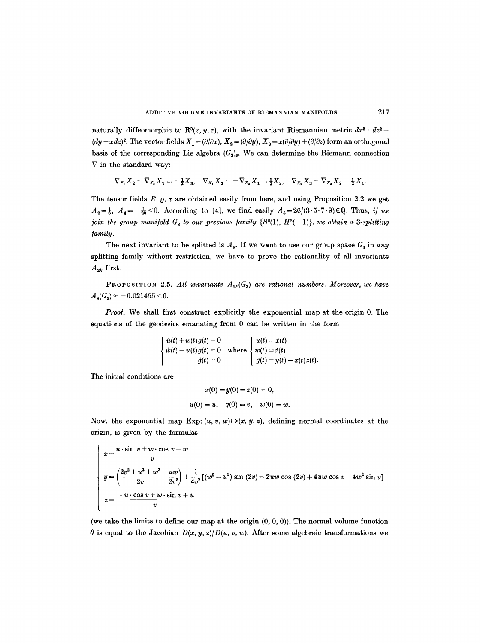naturally diffeomorphic to  $\mathbb{R}^3(x, y, z)$ , with the invariant Riemannian metric  $dx^2 + dz^2 +$  $(dy - xdz)^2$ . The vector fields  $X_1 = (\partial/\partial x)$ ,  $X_2 = (\partial/\partial y)$ ,  $X_3 = x(\partial/\partial y) + (\partial/\partial z)$  form an orthogonal basis of the corresponding Lie algebra  $(G_3)_e$ . We can determine the Riemann connection  $\nabla$  in the standard way:

$$
\nabla_{X_1}X_2=\nabla_{X_2}X_1=-\tfrac{1}{2}X_3, \quad \nabla_{X_1}X_3=-\nabla_{X_3}X_1=\tfrac{1}{2}X_2, \quad \nabla_{X_2}X_3=\nabla_{X_3}X_2=\tfrac{1}{2}X_1.
$$

The tensor fields R,  $\rho$ ,  $\tau$  are obtained easily from here, and using Proposition 2.2 we get  $A_2=\frac{1}{6}$ ,  $A_4=-\frac{1}{20}$  < 0. According to [4], we find easily  $A_6=26/(3\cdot5\cdot7\cdot9)\in Q$ . Thus, *if we join the group manifold*  $G_3$  to our previous family  $\{S^2(1), H^2(-1)\}$ , we obtain a 3-splitting */amily.* 

The next invariant to be splitted is  $A_8$ . If we want to use our group space  $G_8$  in any splitting family without restriction, we have to prove the rationality of all invariants  $A_{2k}$  first.

PROPOSITION 2.5. All invariants  $A_{2k}(G_3)$  are rational numbers. Moreover, we have  $A_{\rm B}(G_{\rm a}) \approx -0.021455 \leq 0.$ 

*Proo/.* We shall first construct explicitly the exponential map at the origin 0. The equations of the geodesics emanating from 0 can be written in the form

> $\dot{u}(t) + w(t)g(t) = 0$   $\qquad$   $u(t) = \dot{x}(t)$  $\dot{w}(t) - u(t)g(t) = 0$  where  $\langle w(t) = \dot{z}(t) \rangle$  $\dot{g}(t)=0$   $g(t)=\dot{y}(t)-x(t)\dot{z}(t).$

The initial conditions are

$$
x(0) = y(0) = z(0) = 0,
$$
  

$$
u(0) = u, \quad g(0) = v, \quad w(0) = w.
$$

Now, the exponential map Exp:  $(u, v, w) \rightarrow (x, y, z)$ , defining normal coordinates at the origin, is given by the formulas

$$
\begin{cases}\nx = \frac{u \cdot \sin v + w \cdot \cos v - w}{v} \\
y = \left(\frac{2v^2 + u^2 + w^2}{2v} - \frac{uw}{2v^2}\right) + \frac{1}{4v^2}[(w^2 - u^2) \sin (2v) - 2uw \cos (2v) + 4uw \cos v - 4w^2 \sin v] \\
z = \frac{-u \cdot \cos v + w \cdot \sin v + u}{v}\n\end{cases}
$$

(we take the limits to define our map at the origin  $(0, 0, 0)$ ). The normal volume function  $\theta$  is equal to the Jacobian  $D(x, y, z)/D(u, v, w)$ . After some algebraic transformations we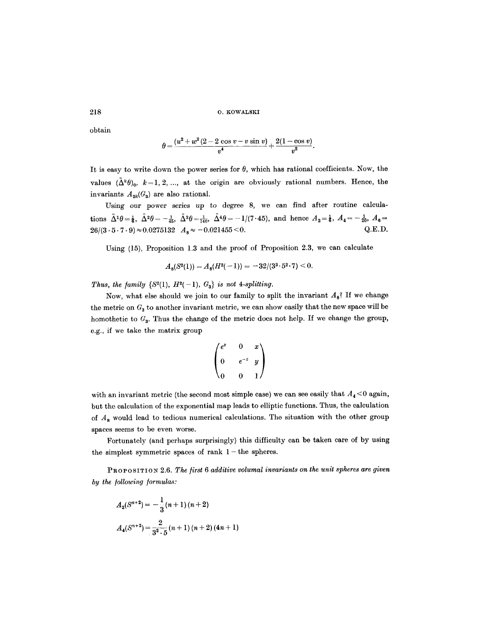obtain

$$
\theta = \frac{(u^2 + w^2(2 - 2\cos v - v\sin v)}{v^4} + \frac{2(1 - \cos v)}{v^2}.
$$

It is easy to write down the power series for  $\theta$ , which has rational coefficients. Now, the values  $({\tilde{\Delta}}^k\theta)_0$ ,  $k=1, 2, ...,$  at the origin are obviously rational numbers. Hence, the invariants  $A_{2k}(G_3)$  are also rational.

Using our power series up to degree 8, we can find after routine calculations  $\tilde{\Delta}^1 \theta = \frac{1}{6}$ ,  $\tilde{\Delta}^2 \theta = -\frac{1}{45}$ ,  $\tilde{\Delta}^3 \theta = \frac{1}{140}$ ,  $\tilde{\Delta}^4 \theta = -1/(7 \cdot 45)$ , and hence  $A_2 = \frac{1}{6}$ ,  $A_4 = -\frac{1}{20}$ ,  $A_6 =$  $26/(3 \cdot 5 \cdot 7 \cdot 9) \approx 0.0275132$   $A_8 \approx -0.021455 \le 0.$  Q.E.D.

Using (15), Proposition 1.3 and the proof of Proposition 2.3, we can calculate

$$
A_8(S^2(1)) = A_8(H^2(-1)) = -32/(3^3 \cdot 5^2 \cdot 7) < 0.
$$

*Thus, the family* { $S^2(1)$ *, H*<sup>2</sup>(-1)*,*  $G_3$ } *is not 4-splitting.* 

Now, what else should we join to our family to split the invariant  $A_8$ ? If we change the metric on  $G_3$  to another invariant metric, we can show easily that the new space will be homothetic to  $G_3$ . Thus the change of the metric does not help. If we change the group, e.g., if we take the matrix group

$$
\begin{pmatrix} e^z & 0 & x \ 0 & e^{-z} & y \ 0 & 0 & 1 \end{pmatrix}
$$

with an invariant metric (the second most simple case) we can see easily that  $A_4 < 0$  again, but the calculation of the exponential map leads to elliptic functions. Thus, the calculation of  $A_8$  would lead to tedious numerical calculations. The situation with the other group spaces seems to be even worse.

Fortunately (and perhaps surprisingly) this difficulty can be taken care of by using the simplest symmetric spaces of rank  $1$  – the spheres.

PROPOSITION 2.6. The first 6 additive volumal invariants on the unit spheres are given *by the /ollowing /ormulas:* 

$$
A_2(S^{n+2}) = -\frac{1}{3}(n+1)(n+2)
$$
  

$$
A_4(S^{n+2}) = \frac{2}{3^2 \cdot 5}(n+1)(n+2)(4n+1)
$$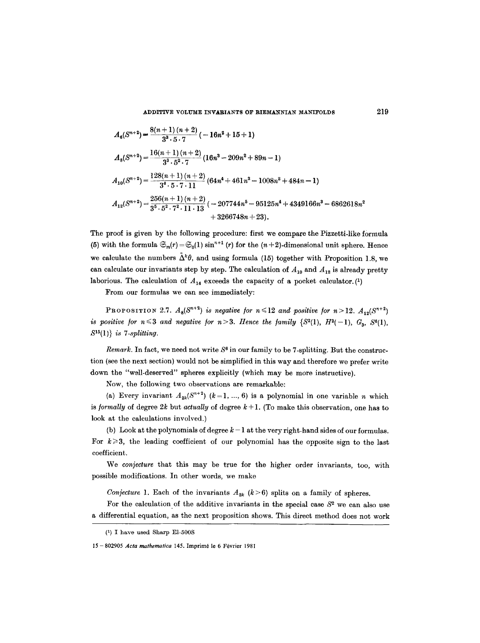$$
A_6(S^{n+2}) = \frac{8(n+1)(n+2)}{3^3 \cdot 5 \cdot 7} \left(-16n^2 + 15 + 1\right)
$$
  
\n
$$
A_8(S^{n+2}) = \frac{16(n+1)(n+2)}{3^3 \cdot 5^2 \cdot 7} \left(16n^3 - 209n^2 + 89n - 1\right)
$$
  
\n
$$
A_{10}(S^{n+2}) = \frac{128(n+1)(n+2)}{3^4 \cdot 5 \cdot 7 \cdot 11} \left(64n^4 + 461n^3 - 1008n^2 + 484n - 1\right)
$$
  
\n
$$
A_{12}(S^{n+2}) = \frac{256(n+1)(n+2)}{3^5 \cdot 5^2 \cdot 7^2 \cdot 11 \cdot 13} \left(-207744n^5 - 95125n^4 + 4349166n^3 - 6862618n^2 + 3266748n + 23\right).
$$

The proof is given by the following procedure: first we compare the Pizzetti-like formula (5) with the formula  $\mathfrak{S}_m(r) = \mathfrak{S}_0(1) \sin^{n+1}(r)$  for the  $(n+2)$ -dimensional unit sphere. Hence we calculate the numbers  $\tilde{\Delta}^k \theta$ , and using formula (15) together with Proposition 1.8, we can calculate our invariants step by step. The calculation of  $A_{10}$  and  $A_{12}$  is already pretty laborious. The calculation of  $A_{14}$  exceeds the capacity of a pocket calculator. (1)

From our formulas we can see immediately:

PROPOSITION 2.7.  $A_8(S^{n+2})$  is negative for  $n \le 12$  and positive for  $n>12$ .  $A_{12}(S^{n+2})$ *is positive for n*  $\leq$  3 *and negative for n* > 3. *Hence the family* {S<sup>2</sup>(1), *H*<sup>2</sup>(-1), *G*<sub>3</sub>, S<sup>8</sup>(1), 815(1)} *is 7-splitting.* 

*Remark.* In fact, we need not write  $S^6$  in our family to be 7-splitting. But the construction (see the next section) would not be simplified in this way and therefore we prefer write down the "well-deserved" spheres explicitly (which may be more instructive).

Now, the following two observations are remarkable:

(a) Every invariant  $A_{2k}(S^{n+2})$   $(k=1, ..., 6)$  is a polynomial in one variable n which is *formally* of degree 2k but *actually* of degree  $k + 1$ . (To make this observation, one has to look at the calculations involved.)

(b) Look at the polynomials of degree  $k-1$  at the very right-hand sides of our formulas. For  $k \geqslant 3$ , the leading coefficient of our polynomial has the opposite sign to the last coefficient.

We *conjecture* that this may be true for the higher order invariants, too, with possible modifications. In other words, we make

*Conjecture* 1. Each of the invariants  $A_{2k}$  ( $k>6$ ) splits on a family of spheres.

For the calculation of the additive invariants in the special case  $S<sup>2</sup>$  we can also use a differential equation, as the next proposition shows. This direct method does not work

<sup>(1)</sup> I havo used Sharp E1-500S

<sup>15-802905</sup> Acta mathematica 145. Imprimé le 6 Février 1981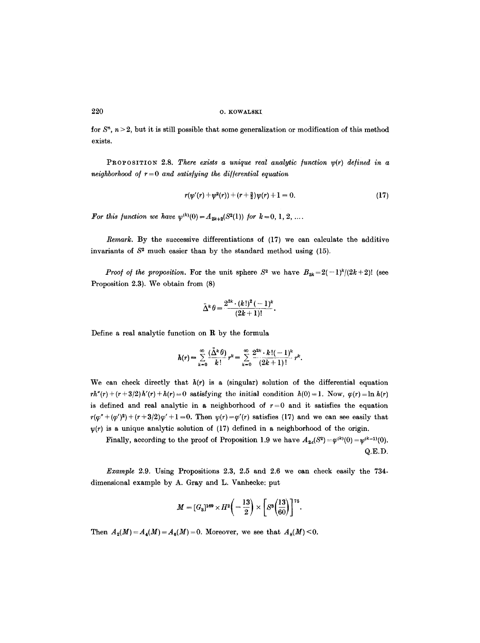for  $S<sup>n</sup>$ ,  $n > 2$ , but it is still possible that some generalization or modification of this method exists.

**PROPOSITION** 2.8. *There exists a unique real analytic function*  $y(r)$  *defined in a neighborhood of*  $r = 0$  *and satisfying the differential equation* 

$$
r(\psi'(r) + \psi^2(r)) + (r + \frac{3}{2})\psi(r) + 1 = 0.
$$
 (17)

*For this function we have*  $\psi^{(k)}(0) = A_{2k+2}(S^2(1))$  *for*  $k = 0, 1, 2, ...$ 

*Remark.* By the successive differentiations of (17) we can calculate the additive invariants of  $S<sup>2</sup>$  much easier than by the standard method using (15).

*Proof of the proposition.* For the unit sphere  $S^2$  we have  $B_{2k}=2(-1)^k/(2k+2)!$  (see Proposition 2.3). We obtain from (8)

$$
\tilde{\Delta}^{k} \theta = \frac{2^{2k} \cdot (k!)^2 (-1)^k}{(2k+1)!}.
$$

Define a real analytic function on R by the formula

$$
h(r) = \sum_{k=0}^{\infty} \frac{(\tilde{\Delta}^k \theta)}{k!} r^k = \sum_{k=0}^{\infty} \frac{2^{2k} \cdot k! (-1)^k}{(2k+1)!} r^k.
$$

We can check directly that  $h(r)$  is a (singular) solution of the differential equation  $rh''(r) + (r+3/2)h'(r) + h(r) = 0$  satisfying the initial condition  $h(0) = 1$ . Now,  $\varphi(r) = \ln h(r)$ is defined and real analytic in a neighborhood of  $r=0$  and it satisfies the equation  $r(\varphi'' + (\varphi')^2) + (r+3/2)\varphi' + 1 = 0$ . Then  $\psi(r) = \varphi'(r)$  satisfies (17) and we can see easily that  $\nu(r)$  is a unique analytic solution of (17) defined in a neighborhood of the origin.

Finally, according to the proof of Proposition 1.9 we have  $A_{2\lambda}(S^2) = \varphi^{(k)}(0) = \psi^{(k-1)}(0)$ . Q.E.D.

*Example* 2.9. Using Propositions 2.3, 2.5 and 2.6 we can check easily the 734 dimensional example by A. Gray and L. Vanhecke: put

$$
M=[G_3]^{169}\times H^2\bigg(-\frac{13}{2}\bigg)\times\bigg[S^3\bigg(\frac{13}{60}\bigg)\bigg]^{75}.
$$

Then  $A_2(M) = A_4(M) = A_6(M) = 0$ . Moreover, we see that  $A_8(M) \le 0$ .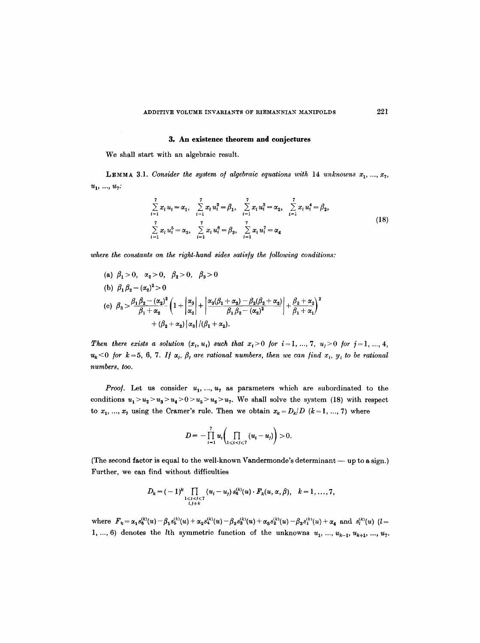#### **3. An existence theorem and conjectures**

We shall start with an algebraic result.

**LEMMA 3.1.** Consider the system of algebraic equations with 14 *unknowns*  $x_1, ..., x_7$ ,  $u_1, ..., u_7$ :

$$
\sum_{i=1}^{7} x_i u_i = \alpha_1, \quad \sum_{i=1}^{7} x_i u_i^2 = \beta_1, \quad \sum_{i=1}^{7} x_i u_i^3 = \alpha_2, \quad \sum_{i=1}^{7} x_i u_i^4 = \beta_2,
$$
\n
$$
\sum_{i=1}^{7} x_i u_i^5 = \alpha_3, \quad \sum_{i=1}^{7} x_i u_i^6 = \beta_3, \quad \sum_{i=1}^{7} x_i u_i^7 = \alpha_4
$$
\n(18)

where the constants on the right-hand sides satisfy the following conditions:

(a) 
$$
\beta_1 > 0
$$
,  $\alpha_2 > 0$ ,  $\beta_2 > 0$ ,  $\beta_3 > 0$   
\n(b)  $\beta_1 \beta_2 - (\alpha_2)^2 > 0$   
\n(c)  $\beta_3 > \frac{\beta_1 \beta_2 - (\alpha_2)^2}{\beta_1 + \alpha_2} \left(1 + \left|\frac{\alpha_3}{\alpha_2}\right| + \left|\frac{\alpha_3(\beta_1 + \alpha_2) - \beta_2(\beta_2 + \alpha_2)}{\beta_1 \beta_2 - (\alpha_2)^2}\right| + \frac{\beta_2 + \alpha_2}{\beta_1 + \alpha_1}\right)^2$   
\n $+ (\beta_2 + \alpha_2) |\alpha_3| / (\beta_1 + \alpha_2).$ 

*Then there exists a solution*  $(x_i, u_i)$  such that  $x_i > 0$  *for*  $i = 1, ..., 7, u_j > 0$  *for*  $j = 1, ..., 4$ ,  $u_k$ <0 for  $k=5, 6, 7$ . If  $\alpha_j$ ,  $\beta_j$  are rational numbers, then we can find  $x_i$ ,  $y_i$  to be rational *numbers, too.* 

*Proof.* Let us consider  $u_1, ..., u_7$  as parameters which are subordinated to the conditions  $u_1 > u_2 > u_3 > u_4 > 0 > u_5 > u_6 > u_7$ . We shall solve the system (18) with respect to  $x_1, ..., x_7$  using the Cramer's rule. Then we obtain  $x_k = D_k/D$  ( $k = 1, ..., 7$ ) where

$$
D=-\prod_{i=1}^7 u_i\bigg(\prod_{1\leqslant i0.
$$

(The second factor is equal to the well-known Vandermonde's determinant -- up to a sign.) Further, we can find without difficulties

$$
D_k = (-1)^k \prod_{\substack{1 \leq i < j \leq 7 \\ i,j \neq k}} (u_i - u_j) s_0^{(k)}(u) \cdot F_k(u, \alpha, \beta), \quad k = 1, \ldots, 7,
$$

where  $F_k = \alpha_1 s_6^{(k)}(u) - \beta_1 s_5^{(k)}(u) + \alpha_2 s_4^{(k)}(u) - \beta_2 s_3^{(k)}(u) + \alpha_3 s_2^{(k)}(u) - \beta_3 s_1^{(k)}(u) + \alpha_4$  and  $s_l^{(k)}(u)$  (*l*= 1, ..., 6) denotes the *l*th symmetric function of the unknowns  $u_1, ..., u_{k-1}, u_{k+1}, ..., u_7$ .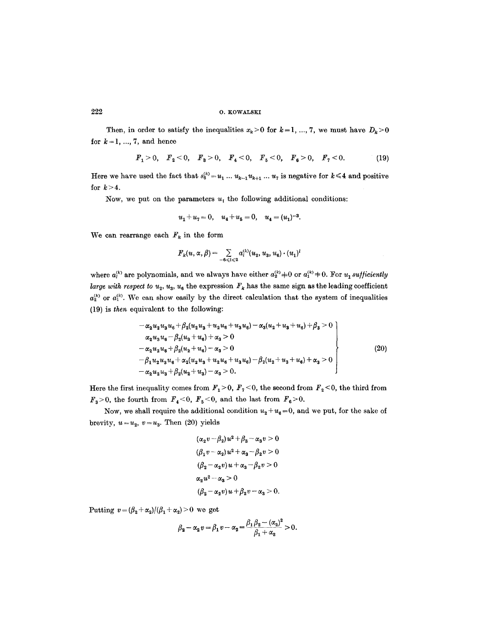Then, in order to satisfy the inequalities  $x_k>0$  for  $k=1, ..., 7$ , we must have  $D_k>0$ for  $k=1, ..., 7$ , and hence

$$
F_1 > 0
$$
,  $F_2 < 0$ ,  $F_3 > 0$ ,  $F_4 < 0$ ,  $F_5 < 0$ ,  $F_6 > 0$ ,  $F_7 < 0$ . (19)

Here we have used the fact that  $s_6^{(k)} = u_1 \ldots u_{k-1} u_{k+1} \ldots u_7$  is negative for  $k \leq 4$  and positive for  $k>4$ .

Now, we put on the parameters  $u_i$ , the following additional conditions:

$$
u_1 + u_7 = 0
$$
,  $u_4 + u_5 = 0$ ,  $u_4 = (u_1)^{-3}$ .

We can rearrange each  $F_k$  in the form

$$
F_k(u,\alpha,\beta)=\sum_{-\theta\leqslant l\leqslant 2}a_l^{\scriptscriptstyle (k)}(u_2,u_3,u_6)\cdot (u_1)^l
$$

where  $a_i^{(k)}$  are polynomials, and we always have either  $a_2^{(k)} \neq 0$  or  $a_1^{(k)} \neq 0$ . For  $u_1$  sufficiently *large with respect to u<sub>2</sub>, u<sub>3</sub>, u<sub>6</sub> the expression*  $F_k$  *has the same sign as the leading coefficient*  $a_2^{(k)}$  or  $a_1^{(k)}$ . We can show easily by the direct calculation that the system of inequalities (19) is *then* equivalent to the following:

$$
- \alpha_2 u_2 u_3 u_6 + \beta_2 (u_2 u_3 + u_2 u_6 + u_3 u_6) - \alpha_3 (u_2 + u_3 + u_6) + \beta_3 > 0
$$
  
\n
$$
\alpha_2 u_3 u_6 - \beta_2 (u_3 + u_6) + \alpha_3 > 0
$$
  
\n
$$
- \alpha_2 u_2 u_6 + \beta_2 (u_2 + u_6) - \alpha_3 > 0
$$
  
\n
$$
- \beta_1 u_2 u_3 u_6 + \alpha_2 (u_2 u_3 + u_2 u_6 + u_3 u_6) - \beta_2 (u_2 + u_3 + u_6) + \alpha_3 > 0
$$
  
\n
$$
- \alpha_2 u_2 u_3 + \beta_2 (u_2 + u_3) - \alpha_3 > 0.
$$
\n(20)

Here the first inequality comes from  $F_1 > 0$ ,  $F_7 < 0$ , the second from  $F_2 < 0$ , the third from  $F_3>0$ , the fourth from  $F_4<0$ ,  $F_5<0$ , and the last from  $F_6>0$ .

Now, we shall require the additional condition  $u_2 + u_6 = 0$ , and we put, for the sake of brevity,  $u=u_2$ ,  $v=u_3$ . Then (20) yields

$$
(\alpha_2 v - \beta_2)u^2 + \beta_3 - \alpha_3 v > 0
$$
  
\n
$$
(\beta_1 v - \alpha_2)u^2 + \alpha_3 - \beta_2 v > 0
$$
  
\n
$$
(\beta_2 - \alpha_2 v)u + \alpha_3 - \beta_2 v > 0
$$
  
\n
$$
\alpha_2 u^2 - \alpha_3 > 0
$$
  
\n
$$
(\beta_2 - \alpha_2 v)u + \beta_2 v - \alpha_3 > 0.
$$

Putting  $v = (\beta_2 + \alpha_2)/(\beta_1 + \alpha_2) > 0$  we get

$$
\beta_2 - \alpha_2 v = \beta_1 v - \alpha_2 = \frac{\beta_1 \beta_2 - (\alpha_2)^2}{\beta_1 + \alpha_2} > 0.
$$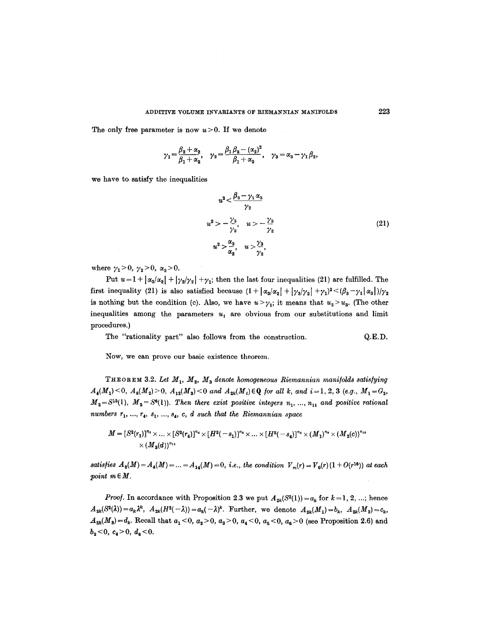The only free parameter is now  $u > 0$ . If we denote

$$
\gamma_1=\frac{\beta_2+\alpha_2}{\beta_1+\alpha_2},\quad \gamma_2=\frac{\beta_1\beta_2-(\alpha_2)^2}{\beta_1+\alpha_2},\quad \gamma_3=\alpha_3-\gamma_1\beta_2,
$$

we have to satisfy the inequalities

$$
u^{2} < \frac{\beta_{3} - \gamma_{1} \alpha_{3}}{\gamma_{2}}
$$
  
\n
$$
u^{2} > -\frac{\gamma_{3}}{\gamma_{2}}, \quad u > -\frac{\gamma_{3}}{\gamma_{2}}
$$
  
\n
$$
u^{2} > \frac{\alpha_{3}}{\alpha_{2}}, \quad u > \frac{\gamma_{3}}{\gamma_{2}}, \quad (21)
$$

where  $\gamma_1 > 0$ ,  $\gamma_2 > 0$ ,  $\alpha_2 > 0$ .

Put  $u = 1 + |\alpha_3/\alpha_2| + |\gamma_3/\gamma_2| + \gamma_1$ ; then the last four inequalities (21) are fulfilled. The first inequality (21) is also satisfied because  $(1 + |\alpha_3/\alpha_2| + |\gamma_3/\gamma_2| + \gamma_1)^2 < (\beta_3 - \gamma_1 |\alpha_3|)/\gamma_2$ is nothing but the condition (c). Also, we have  $u > \gamma_1$ ; it means that  $u_2 > u_3$ . (The other inequalities among the parameters  $u_t$  are obvious from our substitutions and limit procedures.)

The "rationality part" also follows from the construction. Q.E.D.

Now, we can prove our basic existence theorem.

THEOREM 3.2. Let  $M_1$ ,  $M_2$ ,  $M_3$  denote homogeneous Riemannian manifolds satisfying  $A_4(M_1) \leq 0$ ,  $A_8(M_2) \geq 0$ ,  $A_{12}(M_3) \leq 0$  and  $A_{2k}(M_1) \in \mathbb{Q}$  for all k, and  $i=1, 2, 3$  (e.g.,  $M_1 = G_3$ ,  $M_2 = S^{15}(1)$ ,  $M_3 = S^{6}(1)$ ). Then there exist positive integers  $n_1, ..., n_{11}$  and positive rational *numbers*  $r_1, ..., r_4, s_1, ..., s_4, c, d$  such that the Riemannian space

$$
M=[S^2(r_1)]^{n_1}\times \ldots \times [S^2(r_4)]^{n_4} \times [H^2(-s_1)]^{n_5} \times \ldots \times [H^2(-s_4)]^{n_6} \times (M_1)^{n_9} \times (M_2(c))^{n_{10}} \times (M_3(d))^{n_{11}}
$$

*satisfies*  $A_2(M) = A_4(M) = ... = A_{14}(M) = 0$ , *i.e.*, the condition  $V_m(r) = V_0(r) (1 + O(r^{16}))$  at each *point*  $m \in M$ .

*Proof.* In accordance with Proposition 2.3 we put  $A_{2k}(S^2(1)) = a_k$  for  $k = 1, 2, ...$ ; hence  $A_{2k}(S^2(\lambda))=a_k\lambda^k$ ,  $A_{2k}(H^2(-\lambda))=a_k(-\lambda)^k$ . Further, we denote  $A_{2k}(M_1)=b_k$ ,  $A_{2k}(M_2)=c_k$ ,  $A_{2k}(M_3) = d_k$ . Recall that  $a_1 < 0$ ,  $a_2 > 0$ ,  $a_3 > 0$ ,  $a_4 < 0$ ,  $a_5 < 0$ ,  $a_6 > 0$  (see Proposition 2.6) and  $b_2 < 0, c_4 > 0, d_6 < 0.$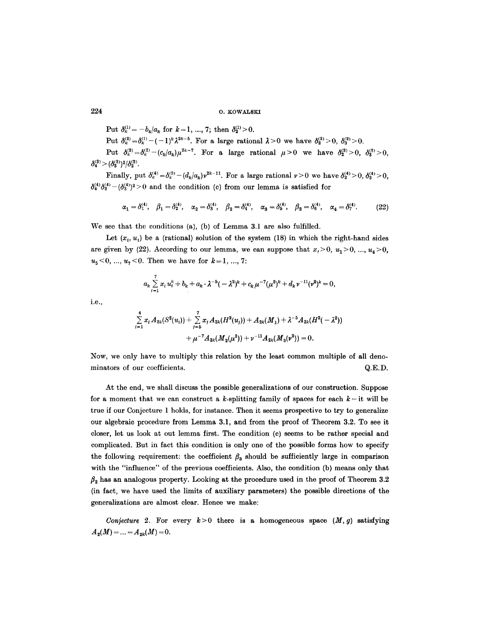Put  $\delta_k^{(1)} = -b_k/a_k$  for  $k = 1, ..., 7$ ; then  $\delta_2^{(1)} > 0$ .

Put  $\delta_k^{(2)}=\delta_k^{(1)}-(-1)^k\lambda^{2k-5}$ . For a large rational  $\lambda>0$  we have  $\delta_k^{(2)}>0$ ,  $\delta_k^{(2)}>0$ .

Put  $\delta_k^{(3)} = \delta_k^{(2)} - (c_k/a_k)\mu^{2k-7}$ . For a large rational  $\mu > 0$  we have  $\delta_k^{(3)} > 0$ ,  $\delta_3^{(3)} > 0$ .  $\delta_4^{(3)}$  >  $(\delta_3^{(3)})^2/\delta_2^{(3)}$ .

Finally, put  $\delta_k^{(4)} = \delta_k^{(3)} - (d_k/a_k) \nu^{2k-11}$ . For a large rational  $\nu > 0$  we have  $\delta_2^{(4)} > 0$ ,  $\delta_3^{(4)} > 0$ ,  $\delta_4^{(4)}\delta_2^{(4)} - (\delta_3^{(4)})^2 > 0$  and the condition (c) from our lemma is satisfied for

$$
\alpha_1 = \delta_1^{(4)}, \quad \beta_1 = \delta_2^{(4)}, \quad \alpha_2 = \delta_3^{(4)}, \quad \beta_2 = \delta_4^{(4)}, \quad \alpha_3 = \delta_5^{(4)}, \quad \beta_3 = \delta_6^{(4)}, \quad \alpha_4 = \delta_7^{(4)}.\tag{22}
$$

We see that the conditions (a), (b) of Lemma 3.1 are also fulfilled.

Let  $(x_i, u_i)$  be a (rational) solution of the system (18) in which the right-hand sides are given by (22). According to our lemma, we can suppose that  $x_i>0$ ,  $u_1>0$ , ...,  $u_4>0$ ,  $u_5 < 0, \ldots, u_7 < 0$ . Then we have for  $k = 1, \ldots, 7$ :

$$
a_k \sum_{i=1}^7 x_i u_i^k + b_k + a_k \cdot \lambda^{-5} (-\lambda^2)^k + c_k \mu^{-7} (\mu^2)^k + d_k \nu^{-11} (\nu^2)^k = 0,
$$

i.e.,

$$
\sum_{i=1}^4 x_i A_{2k}(S^2(u_i)) + \sum_{j=5}^7 x_j A_{2k}(H^2(u_j)) + A_{2k}(M_1) + \lambda^{-5} A_{2k}(H^2(-\lambda^2))
$$
  
+  $\mu^{-7} A_{2k}(M_2(\mu^2)) + \nu^{-11} A_{2k}(M_3(\nu^2)) = 0.$ 

Now, we only have to multiply this relation by the least common multiple of all denominators of our coefficients.  $Q.E.D.$ 

At the end, we shall discuss the possible generalizations of our construction. Suppose for a moment that we can construct a k-splitting family of spaces for each  $k$  - it will be true if our Conjecture 1 holds, for instance. Then it seems prospective to try to generalize our algebraic procedure from Lemma 3.1, and from the proof of Theorem 3.2. To see it closer, let us look at out lemma first. The condition (e) seems to be rather special and complicated. But in fact this condition is only one of the possible forms how to specify the following requirement: the coefficient  $\beta_3$  should be sufficiently large in comparison with the "influence" of the previous coefficients. Also, the condition (b) means only that  $\beta_2$  has an analogous property. Looking at the procedure used in the proof of Theorem 3.2 (in fact, we have used the limits of auxiliary parameters) the possible directions of the generalizations are almost clear. Hence we make:

*Conjecture 2.* For every  $k>0$  there is a homogeneous space  $(M, g)$  satisfying  $A_2(M) = ... = A_{2k}(M) = 0.$